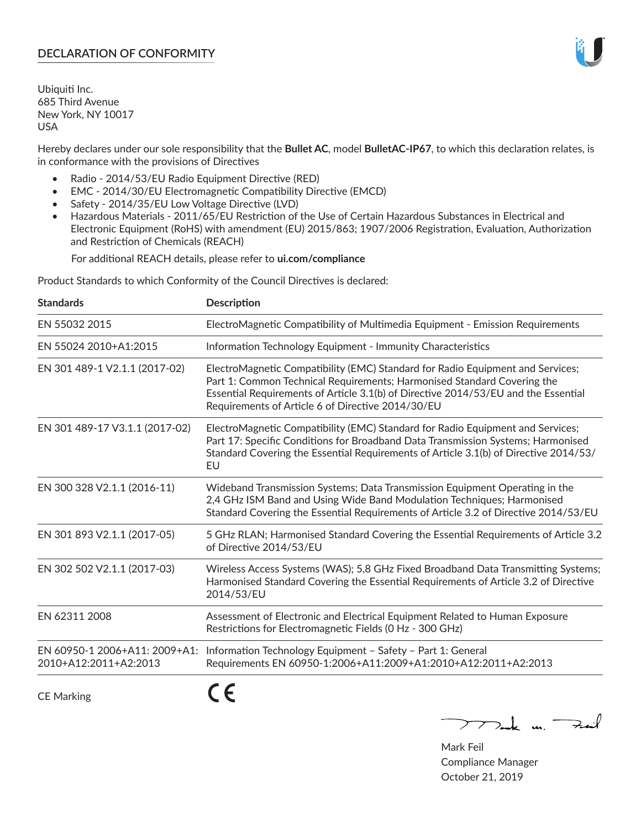# **DECLARATION OF CONFORMITY**

Ubiquiti Inc. 685 Third Avenue New York, NY 10017 USA

Hereby declares under our sole responsibility that the **Bullet AC**, model **BulletAC-IP67**, to which this declaration relates, is in conformance with the provisions of Directives

- Radio 2014/53/EU Radio Equipment Directive (RED)
- EMC 2014/30/EU Electromagnetic Compatibility Directive (EMCD)
- Safety 2014/35/EU Low Voltage Directive (LVD)
- Hazardous Materials 2011/65/EU Restriction of the Use of Certain Hazardous Substances in Electrical and Electronic Equipment (RoHS) with amendment (EU) 2015/863; 1907/2006 Registration, Evaluation, Authorization and Restriction of Chemicals (REACH)

For additional REACH details, please refer to **ui.com/compliance**

Product Standards to which Conformity of the Council Directives is declared:

| <b>Standards</b>                                       | <b>Description</b>                                                                                                                                                                                                                                                                                   |
|--------------------------------------------------------|------------------------------------------------------------------------------------------------------------------------------------------------------------------------------------------------------------------------------------------------------------------------------------------------------|
| EN 55032 2015                                          | ElectroMagnetic Compatibility of Multimedia Equipment - Emission Requirements                                                                                                                                                                                                                        |
| EN 55024 2010+A1:2015                                  | Information Technology Equipment - Immunity Characteristics                                                                                                                                                                                                                                          |
| EN 301 489-1 V2.1.1 (2017-02)                          | ElectroMagnetic Compatibility (EMC) Standard for Radio Equipment and Services;<br>Part 1: Common Technical Requirements; Harmonised Standard Covering the<br>Essential Requirements of Article 3.1(b) of Directive 2014/53/EU and the Essential<br>Requirements of Article 6 of Directive 2014/30/EU |
| EN 301 489-17 V3.1.1 (2017-02)                         | ElectroMagnetic Compatibility (EMC) Standard for Radio Equipment and Services;<br>Part 17: Specific Conditions for Broadband Data Transmission Systems; Harmonised<br>Standard Covering the Essential Requirements of Article 3.1(b) of Directive 2014/53/<br>EU                                     |
| EN 300 328 V2.1.1 (2016-11)                            | Wideband Transmission Systems; Data Transmission Equipment Operating in the<br>2,4 GHz ISM Band and Using Wide Band Modulation Techniques; Harmonised<br>Standard Covering the Essential Requirements of Article 3.2 of Directive 2014/53/EU                                                         |
| EN 301 893 V2.1.1 (2017-05)                            | 5 GHz RLAN; Harmonised Standard Covering the Essential Requirements of Article 3.2<br>of Directive 2014/53/EU                                                                                                                                                                                        |
| EN 302 502 V2.1.1 (2017-03)                            | Wireless Access Systems (WAS); 5,8 GHz Fixed Broadband Data Transmitting Systems;<br>Harmonised Standard Covering the Essential Requirements of Article 3.2 of Directive<br>2014/53/EU                                                                                                               |
| EN 62311 2008                                          | Assessment of Electronic and Electrical Equipment Related to Human Exposure<br>Restrictions for Electromagnetic Fields (0 Hz - 300 GHz)                                                                                                                                                              |
| EN 60950-1 2006+A11: 2009+A1:<br>2010+A12:2011+A2:2013 | Information Technology Equipment - Safety - Part 1: General<br>Requirements EN 60950-1:2006+A11:2009+A1:2010+A12:2011+A2:2013                                                                                                                                                                        |
|                                                        |                                                                                                                                                                                                                                                                                                      |

CE Marking

CE

 $\nabla$  and  $\nabla$  and  $\nabla$ 

Mark Feil Compliance Manager October 21, 2019

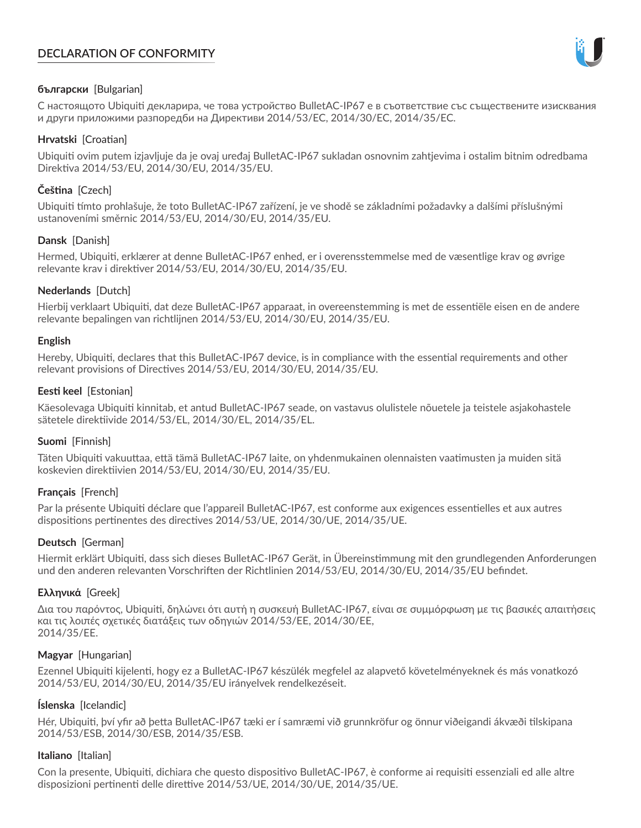# **DECLARATION OF CONFORMITY**



# **български** [Bulgarian]

С настоящото Ubiquiti декларира, че това устройство BulletAC-IP67 е в съответствие със съществените изисквания и други приложими разпоредби на Директиви 2014/53/EC, 2014/30/ЕС, 2014/35/ЕС.

## **Hrvatski** [Croatian]

Ubiquiti ovim putem izjavljuje da je ovaj uređaj BulletAC-IP67 sukladan osnovnim zahtjevima i ostalim bitnim odredbama Direktiva 2014/53/EU, 2014/30/EU, 2014/35/EU.

# **Čeština** [Czech]

Ubiquiti tímto prohlašuje, že toto BulletAC-IP67 zařízení, je ve shodě se základními požadavky a dalšími příslušnými ustanoveními směrnic 2014/53/EU, 2014/30/EU, 2014/35/EU.

# **Dansk** [Danish]

Hermed, Ubiquiti, erklærer at denne BulletAC-IP67 enhed, er i overensstemmelse med de væsentlige krav og øvrige relevante krav i direktiver 2014/53/EU, 2014/30/EU, 2014/35/EU.

# **Nederlands** [Dutch]

Hierbij verklaart Ubiquiti, dat deze BulletAC-IP67 apparaat, in overeenstemming is met de essentiële eisen en de andere relevante bepalingen van richtlijnen 2014/53/EU, 2014/30/EU, 2014/35/EU.

## **English**

Hereby, Ubiquiti, declares that this BulletAC-IP67 device, is in compliance with the essential requirements and other relevant provisions of Directives 2014/53/EU, 2014/30/EU, 2014/35/EU.

# **Eesti keel** [Estonian]

Käesolevaga Ubiquiti kinnitab, et antud BulletAC-IP67 seade, on vastavus olulistele nõuetele ja teistele asjakohastele sätetele direktiivide 2014/53/EL, 2014/30/EL, 2014/35/EL.

## **Suomi** [Finnish]

Täten Ubiquiti vakuuttaa, että tämä BulletAC-IP67 laite, on yhdenmukainen olennaisten vaatimusten ja muiden sitä koskevien direktiivien 2014/53/EU, 2014/30/EU, 2014/35/EU.

## **Français** [French]

Par la présente Ubiquiti déclare que l'appareil BulletAC-IP67, est conforme aux exigences essentielles et aux autres dispositions pertinentes des directives 2014/53/UE, 2014/30/UE, 2014/35/UE.

## **Deutsch** [German]

Hiermit erklärt Ubiquiti, dass sich dieses BulletAC-IP67 Gerät, in Übereinstimmung mit den grundlegenden Anforderungen und den anderen relevanten Vorschriften der Richtlinien 2014/53/EU, 2014/30/EU, 2014/35/EU befindet.

## **Ελληνικά** [Greek]

Δια του παρόντος, Ubiquiti, δηλώνει ότι αυτή η συσκευή BulletAC-IP67, είναι σε συμμόρφωση με τις βασικές απαιτήσεις και τις λοιπές σχετικές διατάξεις των οδηγιών 2014/53/EE, 2014/30/EE, 2014/35/EE.

## **Magyar** [Hungarian]

Ezennel Ubiquiti kijelenti, hogy ez a BulletAC-IP67 készülék megfelel az alapvető követelményeknek és más vonatkozó 2014/53/EU, 2014/30/EU, 2014/35/EU irányelvek rendelkezéseit.

## **Íslenska** [Icelandic]

Hér, Ubiquiti, því yfir að þetta BulletAC-IP67 tæki er í samræmi við grunnkröfur og önnur viðeigandi ákvæði tilskipana 2014/53/ESB, 2014/30/ESB, 2014/35/ESB.

## **Italiano** [Italian]

Con la presente, Ubiquiti, dichiara che questo dispositivo BulletAC-IP67, è conforme ai requisiti essenziali ed alle altre disposizioni pertinenti delle direttive 2014/53/UE, 2014/30/UE, 2014/35/UE.